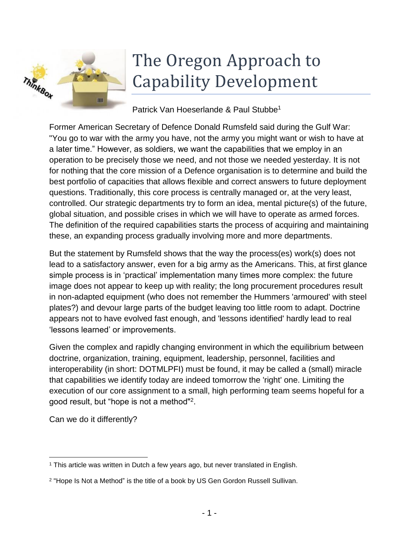

# The Oregon Approach to Capability Development

#### Patrick Van Hoeserlande & Paul Stubbe<sup>1</sup>

Former American Secretary of Defence Donald Rumsfeld said during the Gulf War: "You go to war with the army you have, not the army you might want or wish to have at a later time." However, as soldiers, we want the capabilities that we employ in an operation to be precisely those we need, and not those we needed yesterday. It is not for nothing that the core mission of a Defence organisation is to determine and build the best portfolio of capacities that allows flexible and correct answers to future deployment questions. Traditionally, this core process is centrally managed or, at the very least, controlled. Our strategic departments try to form an idea, mental picture(s) of the future, global situation, and possible crises in which we will have to operate as armed forces. The definition of the required capabilities starts the process of acquiring and maintaining these, an expanding process gradually involving more and more departments.

But the statement by Rumsfeld shows that the way the process(es) work(s) does not lead to a satisfactory answer, even for a big army as the Americans. This, at first glance simple process is in 'practical' implementation many times more complex: the future image does not appear to keep up with reality; the long procurement procedures result in non-adapted equipment (who does not remember the Hummers 'armoured' with steel plates?) and devour large parts of the budget leaving too little room to adapt. Doctrine appears not to have evolved fast enough, and 'lessons identified' hardly lead to real 'lessons learned' or improvements.

Given the complex and rapidly changing environment in which the equilibrium between doctrine, organization, training, equipment, leadership, personnel, facilities and interoperability (in short: DOTMLPFI) must be found, it may be called a (small) miracle that capabilities we identify today are indeed tomorrow the 'right' one. Limiting the execution of our core assignment to a small, high performing team seems hopeful for a good result, but "hope is not a method"<sup>2</sup> .

Can we do it differently?

 $\overline{a}$ <sup>1</sup> This article was written in Dutch a few years ago, but never translated in English.

<sup>&</sup>lt;sup>2</sup> "Hope Is Not a Method" is the title of a book by US Gen Gordon Russell Sullivan.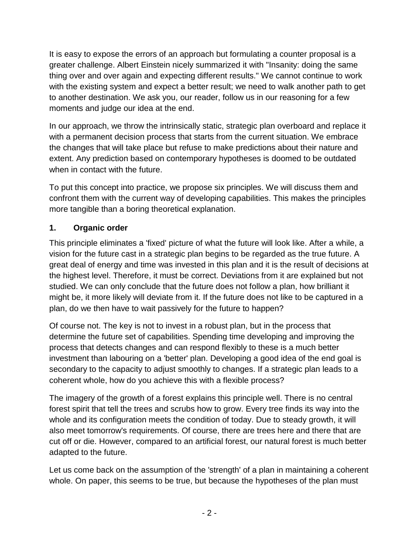It is easy to expose the errors of an approach but formulating a counter proposal is a greater challenge. Albert Einstein nicely summarized it with "Insanity: doing the same thing over and over again and expecting different results." We cannot continue to work with the existing system and expect a better result; we need to walk another path to get to another destination. We ask you, our reader, follow us in our reasoning for a few moments and judge our idea at the end.

In our approach, we throw the intrinsically static, strategic plan overboard and replace it with a permanent decision process that starts from the current situation. We embrace the changes that will take place but refuse to make predictions about their nature and extent. Any prediction based on contemporary hypotheses is doomed to be outdated when in contact with the future.

To put this concept into practice, we propose six principles. We will discuss them and confront them with the current way of developing capabilities. This makes the principles more tangible than a boring theoretical explanation.

#### **1. Organic order**

This principle eliminates a 'fixed' picture of what the future will look like. After a while, a vision for the future cast in a strategic plan begins to be regarded as the true future. A great deal of energy and time was invested in this plan and it is the result of decisions at the highest level. Therefore, it must be correct. Deviations from it are explained but not studied. We can only conclude that the future does not follow a plan, how brilliant it might be, it more likely will deviate from it. If the future does not like to be captured in a plan, do we then have to wait passively for the future to happen?

Of course not. The key is not to invest in a robust plan, but in the process that determine the future set of capabilities. Spending time developing and improving the process that detects changes and can respond flexibly to these is a much better investment than labouring on a 'better' plan. Developing a good idea of the end goal is secondary to the capacity to adjust smoothly to changes. If a strategic plan leads to a coherent whole, how do you achieve this with a flexible process?

The imagery of the growth of a forest explains this principle well. There is no central forest spirit that tell the trees and scrubs how to grow. Every tree finds its way into the whole and its configuration meets the condition of today. Due to steady growth, it will also meet tomorrow's requirements. Of course, there are trees here and there that are cut off or die. However, compared to an artificial forest, our natural forest is much better adapted to the future.

Let us come back on the assumption of the 'strength' of a plan in maintaining a coherent whole. On paper, this seems to be true, but because the hypotheses of the plan must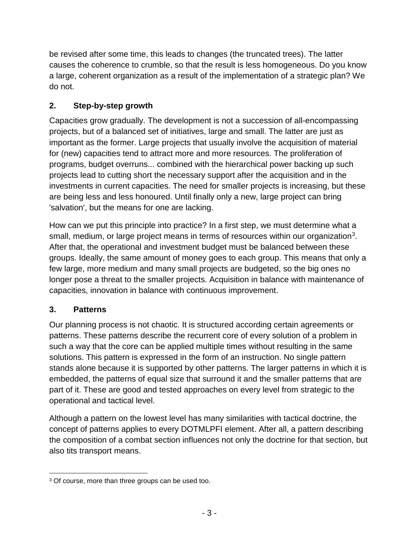be revised after some time, this leads to changes (the truncated trees). The latter causes the coherence to crumble, so that the result is less homogeneous. Do you know a large, coherent organization as a result of the implementation of a strategic plan? We do not.

## **2. Step-by-step growth**

Capacities grow gradually. The development is not a succession of all-encompassing projects, but of a balanced set of initiatives, large and small. The latter are just as important as the former. Large projects that usually involve the acquisition of material for (new) capacities tend to attract more and more resources. The proliferation of programs, budget overruns... combined with the hierarchical power backing up such projects lead to cutting short the necessary support after the acquisition and in the investments in current capacities. The need for smaller projects is increasing, but these are being less and less honoured. Until finally only a new, large project can bring 'salvation', but the means for one are lacking.

How can we put this principle into practice? In a first step, we must determine what a small, medium, or large project means in terms of resources within our organization<sup>3</sup>. After that, the operational and investment budget must be balanced between these groups. Ideally, the same amount of money goes to each group. This means that only a few large, more medium and many small projects are budgeted, so the big ones no longer pose a threat to the smaller projects. Acquisition in balance with maintenance of capacities, innovation in balance with continuous improvement.

## **3. Patterns**

Our planning process is not chaotic. It is structured according certain agreements or patterns. These patterns describe the recurrent core of every solution of a problem in such a way that the core can be applied multiple times without resulting in the same solutions. This pattern is expressed in the form of an instruction. No single pattern stands alone because it is supported by other patterns. The larger patterns in which it is embedded, the patterns of equal size that surround it and the smaller patterns that are part of it. These are good and tested approaches on every level from strategic to the operational and tactical level.

Although a pattern on the lowest level has many similarities with tactical doctrine, the concept of patterns applies to every DOTMLPFI element. After all, a pattern describing the composition of a combat section influences not only the doctrine for that section, but also tits transport means.

 $\overline{a}$ <sup>3</sup> Of course, more than three groups can be used too.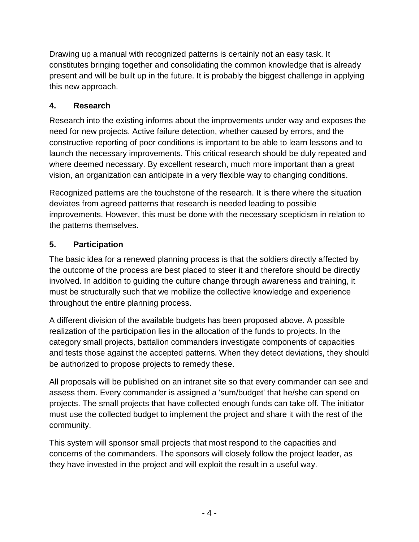Drawing up a manual with recognized patterns is certainly not an easy task. It constitutes bringing together and consolidating the common knowledge that is already present and will be built up in the future. It is probably the biggest challenge in applying this new approach.

## **4. Research**

Research into the existing informs about the improvements under way and exposes the need for new projects. Active failure detection, whether caused by errors, and the constructive reporting of poor conditions is important to be able to learn lessons and to launch the necessary improvements. This critical research should be duly repeated and where deemed necessary. By excellent research, much more important than a great vision, an organization can anticipate in a very flexible way to changing conditions.

Recognized patterns are the touchstone of the research. It is there where the situation deviates from agreed patterns that research is needed leading to possible improvements. However, this must be done with the necessary scepticism in relation to the patterns themselves.

#### **5. Participation**

The basic idea for a renewed planning process is that the soldiers directly affected by the outcome of the process are best placed to steer it and therefore should be directly involved. In addition to guiding the culture change through awareness and training, it must be structurally such that we mobilize the collective knowledge and experience throughout the entire planning process.

A different division of the available budgets has been proposed above. A possible realization of the participation lies in the allocation of the funds to projects. In the category small projects, battalion commanders investigate components of capacities and tests those against the accepted patterns. When they detect deviations, they should be authorized to propose projects to remedy these.

All proposals will be published on an intranet site so that every commander can see and assess them. Every commander is assigned a 'sum/budget' that he/she can spend on projects. The small projects that have collected enough funds can take off. The initiator must use the collected budget to implement the project and share it with the rest of the community.

This system will sponsor small projects that most respond to the capacities and concerns of the commanders. The sponsors will closely follow the project leader, as they have invested in the project and will exploit the result in a useful way.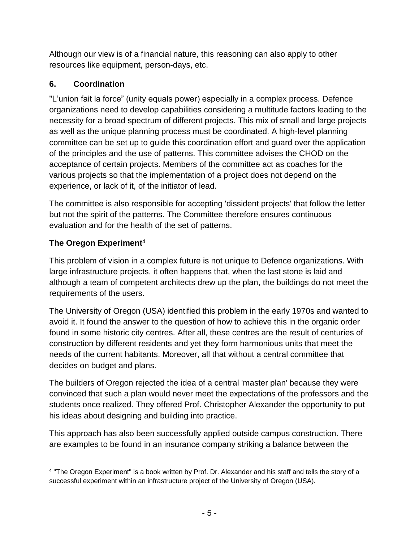Although our view is of a financial nature, this reasoning can also apply to other resources like equipment, person-days, etc.

# **6. Coordination**

"L'union fait la force" (unity equals power) especially in a complex process. Defence organizations need to develop capabilities considering a multitude factors leading to the necessity for a broad spectrum of different projects. This mix of small and large projects as well as the unique planning process must be coordinated. A high-level planning committee can be set up to guide this coordination effort and guard over the application of the principles and the use of patterns. This committee advises the CHOD on the acceptance of certain projects. Members of the committee act as coaches for the various projects so that the implementation of a project does not depend on the experience, or lack of it, of the initiator of lead.

The committee is also responsible for accepting 'dissident projects' that follow the letter but not the spirit of the patterns. The Committee therefore ensures continuous evaluation and for the health of the set of patterns.

## **The Oregon Experiment**<sup>4</sup>

This problem of vision in a complex future is not unique to Defence organizations. With large infrastructure projects, it often happens that, when the last stone is laid and although a team of competent architects drew up the plan, the buildings do not meet the requirements of the users.

The University of Oregon (USA) identified this problem in the early 1970s and wanted to avoid it. It found the answer to the question of how to achieve this in the organic order found in some historic city centres. After all, these centres are the result of centuries of construction by different residents and yet they form harmonious units that meet the needs of the current habitants. Moreover, all that without a central committee that decides on budget and plans.

The builders of Oregon rejected the idea of a central 'master plan' because they were convinced that such a plan would never meet the expectations of the professors and the students once realized. They offered Prof. Christopher Alexander the opportunity to put his ideas about designing and building into practice.

This approach has also been successfully applied outside campus construction. There are examples to be found in an insurance company striking a balance between the

 $\overline{a}$ 4 "The Oregon Experiment" is a book written by Prof. Dr. Alexander and his staff and tells the story of a successful experiment within an infrastructure project of the University of Oregon (USA).